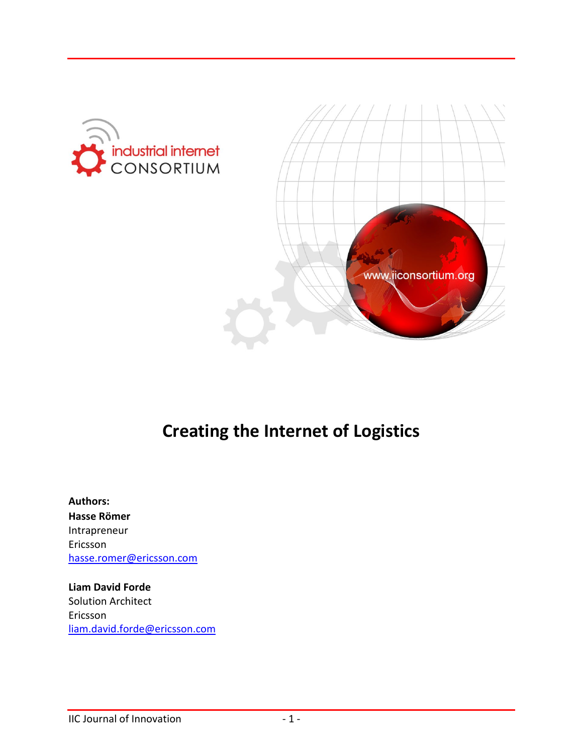



# **Creating the Internet of Logistics**

**Authors: Hasse Römer** Intrapreneur Ericsson [hasse.romer@ericsson.com](mailto:hasse.romer@ericsson.com)

**Liam David Forde** Solution Architect Ericsson [liam.david.forde@ericsson.com](mailto:liam.david.forde@ericsson.com)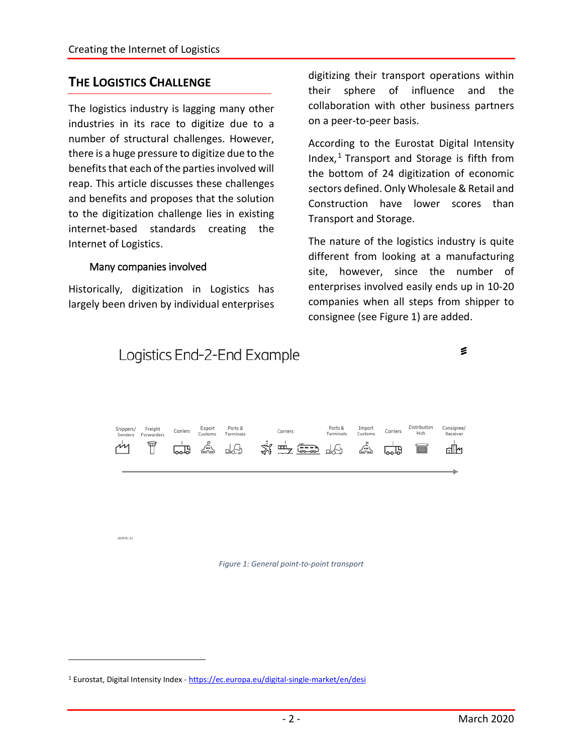### **THE LOGISTICS CHALLENGE**

The logistics industry is lagging many other industries in its race to digitize due to a number of structural challenges. However, there is a huge pressure to digitize due to the benefits that each of the parties involved will reap. This article discusses these challenges and benefits and proposes that the solution to the digitization challenge lies in existing internet-based standards creating the Internet of Logistics.

#### Many companies involved

Historically, digitization in Logistics has largely been driven by individual enterprises digitizing their transport operations within their sphere of influence and the collaboration with other business partners on a peer-to-peer basis.

According to the Eurostat Digital Intensity Index, $1$  Transport and Storage is fifth from the bottom of 24 digitization of economic sectors defined. Only Wholesale & Retail and Construction have lower scores than Transport and Storage.

The nature of the logistics industry is quite different from looking at a manufacturing site, however, since the number of enterprises involved easily ends up in 10-20 companies when all steps from shipper to consignee (see Figure 1) are added.



2020-01-51

 $\overline{a}$ 

*Figure 1: General point-to-point transport*

<span id="page-1-0"></span><sup>&</sup>lt;sup>1</sup> Eurostat, Digital Intensity Index - <https://ec.europa.eu/digital-single-market/en/desi>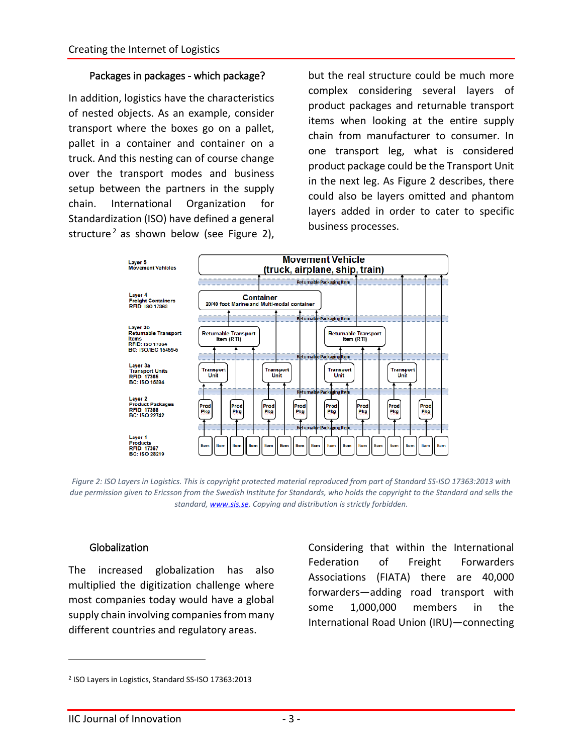#### Packages in packages - which package?

In addition, logistics have the characteristics of nested objects. As an example, consider transport where the boxes go on a pallet, pallet in a container and container on a truck. And this nesting can of course change over the transport modes and business setup between the partners in the supply chain. International Organization for Standardization (ISO) have defined a general structure<sup>[2](#page-2-0)</sup> as shown below (see Figure 2),

but the real structure could be much more complex considering several layers of product packages and returnable transport items when looking at the entire supply chain from manufacturer to consumer. In one transport leg, what is considered product package could be the Transport Unit in the next leg. As Figure 2 describes, there could also be layers omitted and phantom layers added in order to cater to specific business processes.



*Figure 2: ISO Layers in Logistics. This is copyright protected material reproduced from part of Standard SS-ISO 17363:2013 with due permission given to Ericsson from the Swedish Institute for Standards, who holds the copyright to the Standard and sells the standard[, www.sis.se.](http://www.sis.se/) Copying and distribution is strictly forbidden.*

#### Globalization

The increased globalization has also multiplied the digitization challenge where most companies today would have a global supply chain involving companies from many different countries and regulatory areas.

Considering that within the International Federation of Freight Forwarders Associations (FIATA) there are 40,000 forwarders—adding road transport with some 1,000,000 members in the International Road Union (IRU)—connecting

<span id="page-2-0"></span><sup>2</sup> ISO Layers in Logistics, Standard SS-ISO 17363:2013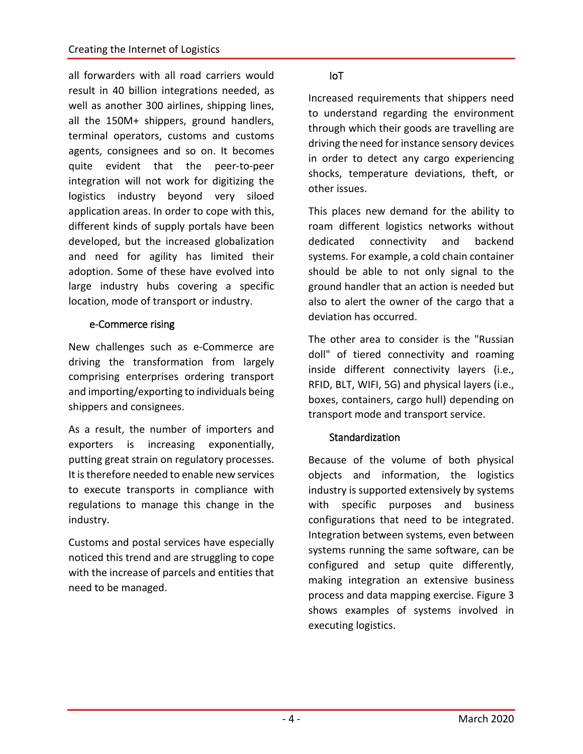all forwarders with all road carriers would result in 40 billion integrations needed, as well as another 300 airlines, shipping lines, all the 150M+ shippers, ground handlers, terminal operators, customs and customs agents, consignees and so on. It becomes quite evident that the peer-to-peer integration will not work for digitizing the logistics industry beyond very siloed application areas. In order to cope with this, different kinds of supply portals have been developed, but the increased globalization and need for agility has limited their adoption. Some of these have evolved into large industry hubs covering a specific location, mode of transport or industry.

#### e-Commerce rising

New challenges such as e-Commerce are driving the transformation from largely comprising enterprises ordering transport and importing/exporting to individuals being shippers and consignees.

As a result, the number of importers and exporters is increasing exponentially, putting great strain on regulatory processes. It is therefore needed to enable new services to execute transports in compliance with regulations to manage this change in the industry.

Customs and postal services have especially noticed this trend and are struggling to cope with the increase of parcels and entities that need to be managed.

#### IoT

Increased requirements that shippers need to understand regarding the environment through which their goods are travelling are driving the need for instance sensory devices in order to detect any cargo experiencing shocks, temperature deviations, theft, or other issues.

This places new demand for the ability to roam different logistics networks without dedicated connectivity and backend systems. For example, a cold chain container should be able to not only signal to the ground handler that an action is needed but also to alert the owner of the cargo that a deviation has occurred.

The other area to consider is the "Russian doll" of tiered connectivity and roaming inside different connectivity layers (i.e., RFID, BLT, WIFI, 5G) and physical layers (i.e., boxes, containers, cargo hull) depending on transport mode and transport service.

#### **Standardization**

Because of the volume of both physical objects and information, the logistics industry is supported extensively by systems with specific purposes and business configurations that need to be integrated. Integration between systems, even between systems running the same software, can be configured and setup quite differently, making integration an extensive business process and data mapping exercise. Figure 3 shows examples of systems involved in executing logistics.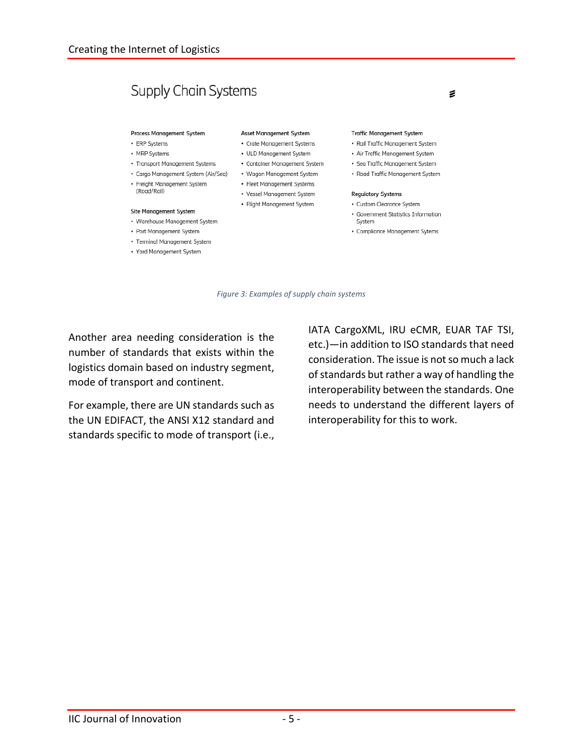## **Supply Chain Systems**

#### Process Management System

- ERP Systems
- MRP Systems

(Road/Rail)

- Transport Management Systems
- Cargo Management System (Air/Sea) Wagon Management System
- Freight Management System

#### Site Management System

- Warehouse Management System
- Port Management System
- Terminal Management System
- Yard Management System

#### Asset Management System

- Crate Management Systems
- ULD Management System
- Container Management System
- 
- Fleet Management Systems
- Vessel Management System
- Flight Management System
- Government Statistics Information

**Traffic Management System** 

• Rail Traffic Management System

• Air Traffic Management System

• Sea Traffic Management System

• Road Traffic Management System

System

**Regulatory Systems** 

• Custom Clearance System

- Compliance Management Sytems
- *Figure 3: Examples of supply chain systems*

Another area needing consideration is the number of standards that exists within the logistics domain based on industry segment, mode of transport and continent.

For example, there are UN standards such as the UN EDIFACT, the ANSI X12 standard and standards specific to mode of transport (i.e.,

IATA CargoXML, IRU eCMR, EUAR TAF TSI, etc.)—in addition to ISO standards that need consideration. The issue is not so much a lack of standards but rather a way of handling the interoperability between the standards. One needs to understand the different layers of interoperability for this to work.

€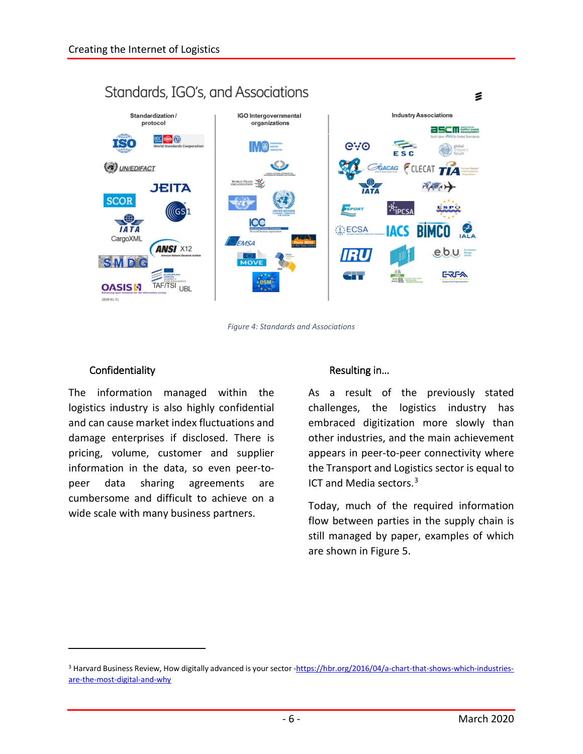

*Figure 4: Standards and Associations*

#### Confidentiality

 $\overline{a}$ 

The information managed within the logistics industry is also highly confidential and can cause market index fluctuations and damage enterprises if disclosed. There is pricing, volume, customer and supplier information in the data, so even peer-topeer data sharing agreements are cumbersome and difficult to achieve on a wide scale with many business partners.

#### Resulting in…

As a result of the previously stated challenges, the logistics industry has embraced digitization more slowly than other industries, and the main achievement appears in peer-to-peer connectivity where the Transport and Logistics sector is equal to ICT and Media sectors.<sup>[3](#page-5-0)</sup>

Today, much of the required information flow between parties in the supply chain is still managed by paper, examples of which are shown in Figure 5.

<span id="page-5-0"></span><sup>&</sup>lt;sup>3</sup> Harvard Business Review, How digitally advanced is your sector [-https://hbr.org/2016/04/a-chart-that-shows-which-industries](https://hbr.org/2016/04/a-chart-that-shows-which-industries-are-the-most-digital-and-why)[are-the-most-digital-and-why](https://hbr.org/2016/04/a-chart-that-shows-which-industries-are-the-most-digital-and-why)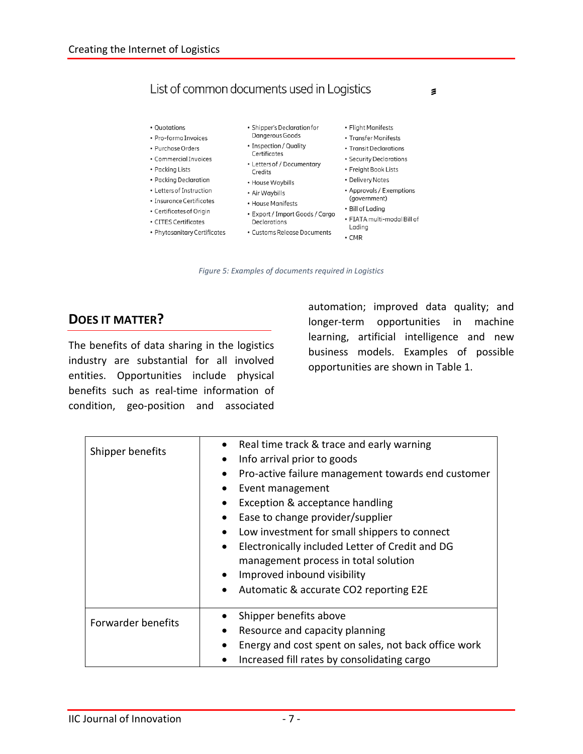## List of common documents used in Logistics

- Quotations
- Pro-forma Invoices
- Purchase Orders
- Commercial Invoices
- Packing Lists
- Packing Declaration
- Letters of Instruction
- Insurance Certificates
- Certificates of Origin
- CITES Certificates
- Phytosanitary Certificates
- · Shipper's Declaration for Dangerous Goods
- Inspection / Quality
- Certificates
- Letters of / Documentary Credits
- House Waybills
- Air Waybills
- House Manifests
	- Export / Import Goods / Cargo Declarations
	- Customs Release Documents
- Flight Manifests
- Transfer Manifests
- Transit Declarations
- Security Declarations
- Freight Book Lists
- Delivery Notes
- Approvals / Exemptions
- (government) • Bill of Lading
- · FIATA multi-modal Bill of
- Ladina
- $\cdot$  CMR

*Figure 5: Examples of documents required in Logistics*

### **DOES IT MATTER?**

The benefits of data sharing in the logistics industry are substantial for all involved entities. Opportunities include physical benefits such as real-time information of condition, geo-position and associated

automation; improved data quality; and longer-term opportunities in machine learning, artificial intelligence and new business models. Examples of possible opportunities are shown in Table 1.

 $\leq$ 

| Shipper benefits   | Real time track & trace and early warning                    |
|--------------------|--------------------------------------------------------------|
|                    | Info arrival prior to goods<br>$\bullet$                     |
|                    | Pro-active failure management towards end customer           |
|                    | Event management<br>$\bullet$                                |
|                    | Exception & acceptance handling                              |
|                    | Ease to change provider/supplier                             |
|                    | Low investment for small shippers to connect<br>$\bullet$    |
|                    | Electronically included Letter of Credit and DG<br>$\bullet$ |
|                    | management process in total solution                         |
|                    | Improved inbound visibility<br>$\bullet$                     |
|                    | Automatic & accurate CO2 reporting E2E<br>$\bullet$          |
|                    |                                                              |
| Forwarder benefits | Shipper benefits above                                       |
|                    | Resource and capacity planning                               |
|                    | Energy and cost spent on sales, not back office work         |
|                    | Increased fill rates by consolidating cargo                  |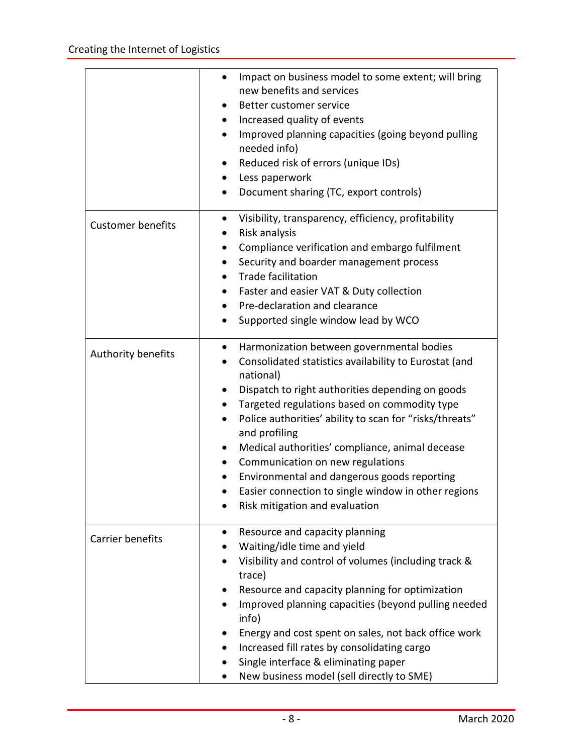|                          | Impact on business model to some extent; will bring<br>$\bullet$<br>new benefits and services<br>Better customer service<br>$\bullet$<br>Increased quality of events<br>$\bullet$<br>Improved planning capacities (going beyond pulling<br>٠<br>needed info)<br>Reduced risk of errors (unique IDs)<br>$\bullet$<br>Less paperwork<br>Document sharing (TC, export controls)                                                                                                                                                                                                                    |
|--------------------------|-------------------------------------------------------------------------------------------------------------------------------------------------------------------------------------------------------------------------------------------------------------------------------------------------------------------------------------------------------------------------------------------------------------------------------------------------------------------------------------------------------------------------------------------------------------------------------------------------|
| <b>Customer benefits</b> | Visibility, transparency, efficiency, profitability<br>Risk analysis<br>Compliance verification and embargo fulfilment<br>$\bullet$<br>Security and boarder management process<br>$\bullet$<br><b>Trade facilitation</b><br>$\bullet$<br>Faster and easier VAT & Duty collection<br>$\bullet$<br>Pre-declaration and clearance<br>Supported single window lead by WCO                                                                                                                                                                                                                           |
| Authority benefits       | Harmonization between governmental bodies<br>$\bullet$<br>Consolidated statistics availability to Eurostat (and<br>national)<br>Dispatch to right authorities depending on goods<br>Targeted regulations based on commodity type<br>$\bullet$<br>Police authorities' ability to scan for "risks/threats"<br>$\bullet$<br>and profiling<br>Medical authorities' compliance, animal decease<br>$\bullet$<br>Communication on new regulations<br>$\bullet$<br>Environmental and dangerous goods reporting<br>Easier connection to single window in other regions<br>Risk mitigation and evaluation |
| Carrier benefits         | Resource and capacity planning<br>$\bullet$<br>Waiting/idle time and yield<br>Visibility and control of volumes (including track &<br>trace)<br>Resource and capacity planning for optimization<br>Improved planning capacities (beyond pulling needed<br>info)<br>Energy and cost spent on sales, not back office work<br>Increased fill rates by consolidating cargo<br>Single interface & eliminating paper<br>New business model (sell directly to SME)                                                                                                                                     |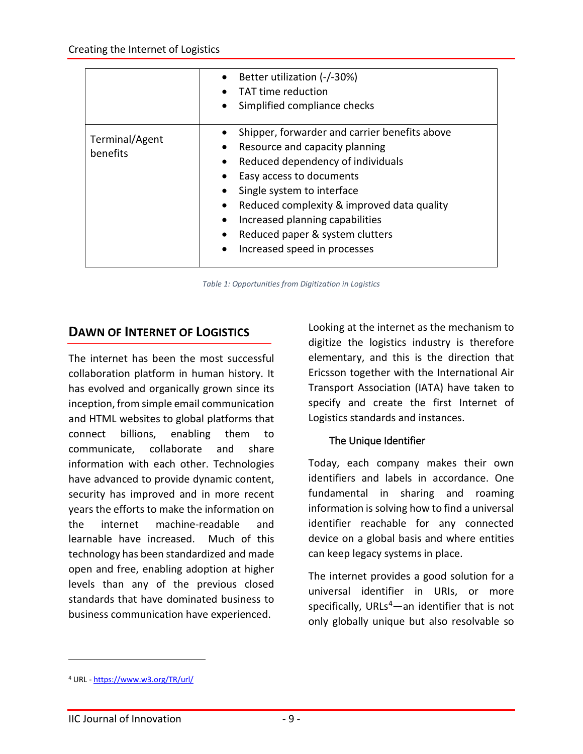|                            | Better utilization (-/-30%)<br>TAT time reduction<br>• Simplified compliance checks                                                                                                                                                                                                                                                                                         |
|----------------------------|-----------------------------------------------------------------------------------------------------------------------------------------------------------------------------------------------------------------------------------------------------------------------------------------------------------------------------------------------------------------------------|
| Terminal/Agent<br>benefits | Shipper, forwarder and carrier benefits above<br>Resource and capacity planning<br>Reduced dependency of individuals<br>$\bullet$<br>Easy access to documents<br>• Single system to interface<br>Reduced complexity & improved data quality<br>Increased planning capabilities<br>$\bullet$<br>Reduced paper & system clutters<br>Increased speed in processes<br>$\bullet$ |

*Table 1: Opportunities from Digitization in Logistics*

#### **DAWN OF INTERNET OF LOGISTICS**

The internet has been the most successful collaboration platform in human history. It has evolved and organically grown since its inception, from simple email communication and HTML websites to global platforms that connect billions, enabling them to communicate, collaborate and share information with each other. Technologies have advanced to provide dynamic content, security has improved and in more recent years the efforts to make the information on the internet machine-readable and learnable have increased. Much of this technology has been standardized and made open and free, enabling adoption at higher levels than any of the previous closed standards that have dominated business to business communication have experienced.

Looking at the internet as the mechanism to digitize the logistics industry is therefore elementary, and this is the direction that Ericsson together with the International Air Transport Association (IATA) have taken to specify and create the first Internet of Logistics standards and instances.

#### The Unique Identifier

Today, each company makes their own identifiers and labels in accordance. One fundamental in sharing and roaming information is solving how to find a universal identifier reachable for any connected device on a global basis and where entities can keep legacy systems in place.

The internet provides a good solution for a universal identifier in URIs, or more specifically, URLs<sup>[4](#page-8-0)</sup>—an identifier that is not only globally unique but also resolvable so

<span id="page-8-0"></span><sup>4</sup> URL - <https://www.w3.org/TR/url/>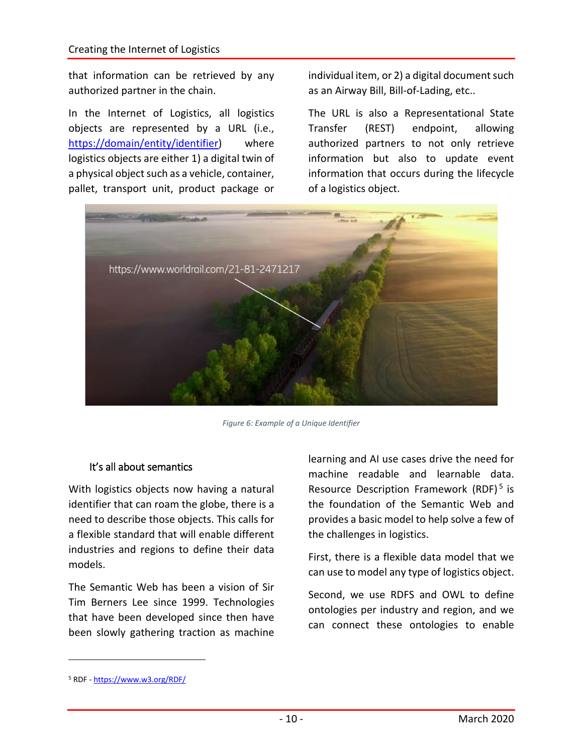that information can be retrieved by any authorized partner in the chain.

In the Internet of Logistics, all logistics objects are represented by a URL (i.e., [https://domain/entity/identifier\)](https://domain/entity/identifier) where logistics objects are either 1) a digital twin of a physical object such as a vehicle, container, pallet, transport unit, product package or

individual item, or 2) a digital document such as an Airway Bill, Bill-of-Lading, etc..

The URL is also a Representational State Transfer (REST) endpoint, allowing authorized partners to not only retrieve information but also to update event information that occurs during the lifecycle of a logistics object.



*Figure 6: Example of a Unique Identifier*

#### It's all about semantics

With logistics objects now having a natural identifier that can roam the globe, there is a need to describe those objects. This calls for a flexible standard that will enable different industries and regions to define their data models.

The Semantic Web has been a vision of Sir Tim Berners Lee since 1999. Technologies that have been developed since then have been slowly gathering traction as machine learning and AI use cases drive the need for machine readable and learnable data. Resource Description Framework (RDF)<sup>[5](#page-9-0)</sup> is the foundation of the Semantic Web and provides a basic model to help solve a few of the challenges in logistics.

First, there is a flexible data model that we can use to model any type of logistics object.

Second, we use RDFS and OWL to define ontologies per industry and region, and we can connect these ontologies to enable

<span id="page-9-0"></span><sup>5</sup> RDF - <https://www.w3.org/RDF/>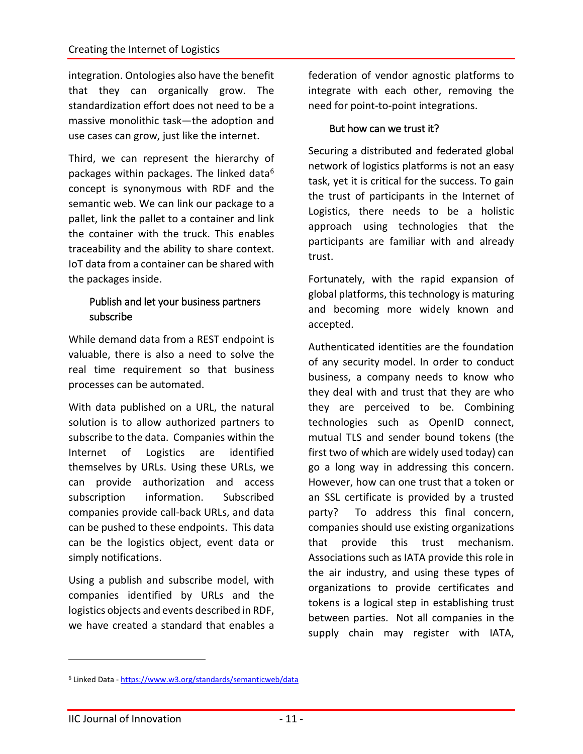integration. Ontologies also have the benefit that they can organically grow. The standardization effort does not need to be a massive monolithic task—the adoption and use cases can grow, just like the internet.

Third, we can represent the hierarchy of packages within packages. The linked data<sup>[6](#page-10-0)</sup> concept is synonymous with RDF and the semantic web. We can link our package to a pallet, link the pallet to a container and link the container with the truck. This enables traceability and the ability to share context. IoT data from a container can be shared with the packages inside.

#### Publish and let your business partners subscribe

While demand data from a REST endpoint is valuable, there is also a need to solve the real time requirement so that business processes can be automated.

With data published on a URL, the natural solution is to allow authorized partners to subscribe to the data. Companies within the Internet of Logistics are identified themselves by URLs. Using these URLs, we can provide authorization and access subscription information. Subscribed companies provide call-back URLs, and data can be pushed to these endpoints. This data can be the logistics object, event data or simply notifications.

Using a publish and subscribe model, with companies identified by URLs and the logistics objects and events described in RDF, we have created a standard that enables a

federation of vendor agnostic platforms to integrate with each other, removing the need for point-to-point integrations.

#### But how can we trust it?

Securing a distributed and federated global network of logistics platforms is not an easy task, yet it is critical for the success. To gain the trust of participants in the Internet of Logistics, there needs to be a holistic approach using technologies that the participants are familiar with and already trust.

Fortunately, with the rapid expansion of global platforms, this technology is maturing and becoming more widely known and accepted.

Authenticated identities are the foundation of any security model. In order to conduct business, a company needs to know who they deal with and trust that they are who they are perceived to be. Combining technologies such as OpenID connect, mutual TLS and sender bound tokens (the first two of which are widely used today) can go a long way in addressing this concern. However, how can one trust that a token or an SSL certificate is provided by a trusted party? To address this final concern, companies should use existing organizations that provide this trust mechanism. Associations such as IATA provide this role in the air industry, and using these types of organizations to provide certificates and tokens is a logical step in establishing trust between parties. Not all companies in the supply chain may register with IATA,

<span id="page-10-0"></span><sup>6</sup> Linked Data - <https://www.w3.org/standards/semanticweb/data>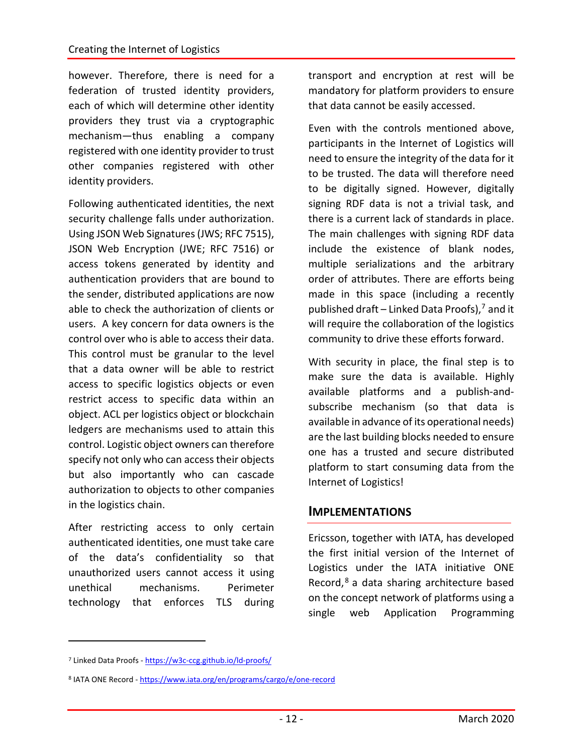however. Therefore, there is need for a federation of trusted identity providers, each of which will determine other identity providers they trust via a cryptographic mechanism—thus enabling a company registered with one identity provider to trust other companies registered with other identity providers.

Following authenticated identities, the next security challenge falls under authorization. Using JSON Web Signatures (JWS; RFC 7515), JSON Web Encryption (JWE; RFC 7516) or access tokens generated by identity and authentication providers that are bound to the sender, distributed applications are now able to check the authorization of clients or users. A key concern for data owners is the control over who is able to access their data. This control must be granular to the level that a data owner will be able to restrict access to specific logistics objects or even restrict access to specific data within an object. ACL per logistics object or blockchain ledgers are mechanisms used to attain this control. Logistic object owners can therefore specify not only who can access their objects but also importantly who can cascade authorization to objects to other companies in the logistics chain.

After restricting access to only certain authenticated identities, one must take care of the data's confidentiality so that unauthorized users cannot access it using unethical mechanisms. Perimeter technology that enforces TLS during

transport and encryption at rest will be mandatory for platform providers to ensure that data cannot be easily accessed.

Even with the controls mentioned above, participants in the Internet of Logistics will need to ensure the integrity of the data for it to be trusted. The data will therefore need to be digitally signed. However, digitally signing RDF data is not a trivial task, and there is a current lack of standards in place. The main challenges with signing RDF data include the existence of blank nodes, multiple serializations and the arbitrary order of attributes. There are efforts being made in this space (including a recently published draft – Linked Data Proofs), $<sup>7</sup>$  $<sup>7</sup>$  $<sup>7</sup>$  and it</sup> will require the collaboration of the logistics community to drive these efforts forward.

With security in place, the final step is to make sure the data is available. Highly available platforms and a publish-andsubscribe mechanism (so that data is available in advance of its operational needs) are the last building blocks needed to ensure one has a trusted and secure distributed platform to start consuming data from the Internet of Logistics!

#### **IMPLEMENTATIONS**

Ericsson, together with IATA, has developed the first initial version of the Internet of Logistics under the IATA initiative ONE Record, [8](#page-11-1) a data sharing architecture based on the concept network of platforms using a single web Application Programming

<span id="page-11-0"></span><sup>7</sup> Linked Data Proofs - <https://w3c-ccg.github.io/ld-proofs/>

<span id="page-11-1"></span><sup>8</sup> IATA ONE Record - <https://www.iata.org/en/programs/cargo/e/one-record>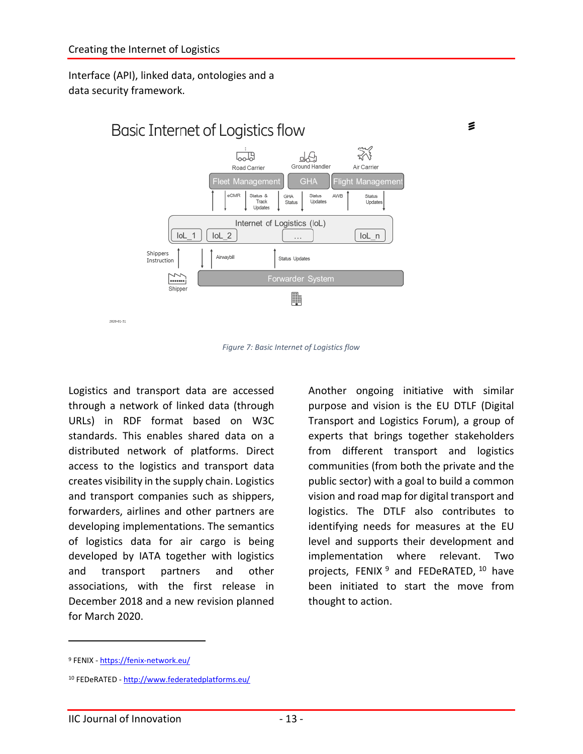Interface (API), linked data, ontologies and a data security framework.



*Figure 7: Basic Internet of Logistics flow*

Logistics and transport data are accessed through a network of linked data (through URLs) in RDF format based on W3C standards. This enables shared data on a distributed network of platforms. Direct access to the logistics and transport data creates visibility in the supply chain. Logistics and transport companies such as shippers, forwarders, airlines and other partners are developing implementations. The semantics of logistics data for air cargo is being developed by IATA together with logistics and transport partners and other associations, with the first release in December 2018 and a new revision planned for March 2020.

Another ongoing initiative with similar purpose and vision is the EU DTLF (Digital Transport and Logistics Forum), a group of experts that brings together stakeholders from different transport and logistics communities (from both the private and the public sector) with a goal to build a common vision and road map for digital transport and logistics. The DTLF also contributes to identifying needs for measures at the EU level and supports their development and implementation where relevant. Two projects, FENIX  $9$  and FEDeRATED,  $10$  have been initiated to start the move from thought to action.

₹

<span id="page-12-0"></span><sup>9</sup> FENIX - <https://fenix-network.eu/>

<span id="page-12-1"></span><sup>10</sup> FEDeRATED - <http://www.federatedplatforms.eu/>